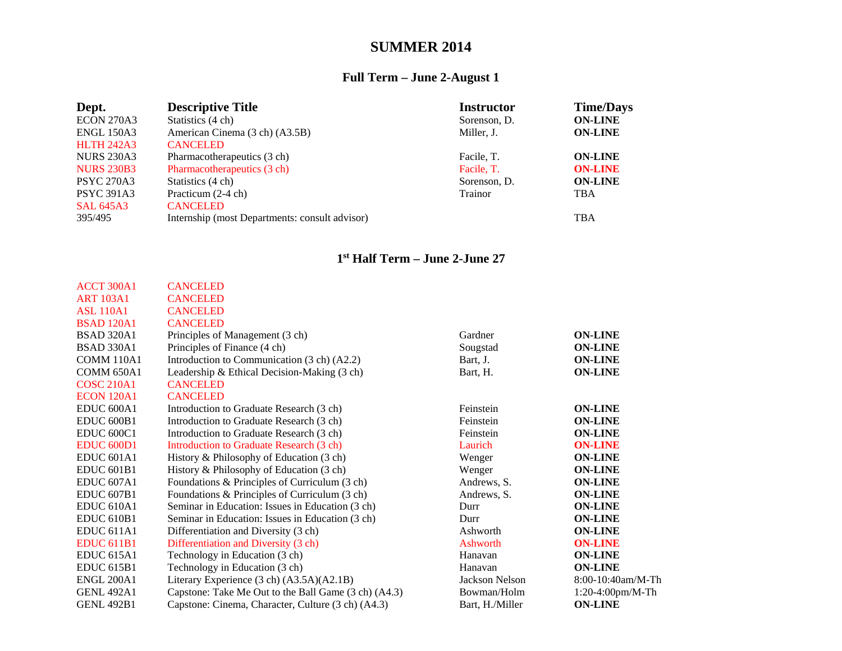## **SUMMER 2014**

## **Full Term – June 2-August 1**

| Dept.             | <b>Descriptive Title</b>                       | <b>Instructor</b> | <b>Time/Days</b> |
|-------------------|------------------------------------------------|-------------------|------------------|
| <b>ECON 270A3</b> | Statistics (4 ch)                              | Sorenson, D.      | <b>ON-LINE</b>   |
| <b>ENGL 150A3</b> | American Cinema (3 ch) (A3.5B)                 | Miller, J.        | <b>ON-LINE</b>   |
| <b>HLTH 242A3</b> | <b>CANCELED</b>                                |                   |                  |
| <b>NURS 230A3</b> | Pharmacotherapeutics (3 ch)                    | Facile, T.        | <b>ON-LINE</b>   |
| <b>NURS 230B3</b> | Pharmacotherapeutics (3 ch)                    | Facile, T.        | <b>ON-LINE</b>   |
| <b>PSYC 270A3</b> | Statistics (4 ch)                              | Sorenson, D.      | <b>ON-LINE</b>   |
| <b>PSYC 391A3</b> | Practicum (2-4 ch)                             | Trainor           | <b>TBA</b>       |
| <b>SAL 645A3</b>  | <b>CANCELED</b>                                |                   |                  |
| 395/495           | Internship (most Departments: consult advisor) |                   | <b>TBA</b>       |

## **1st Half Term – June 2-June 27**

| ACCT 300A1            | <b>CANCELED</b>                                      |                 |                     |
|-----------------------|------------------------------------------------------|-----------------|---------------------|
| <b>ART 103A1</b>      | <b>CANCELED</b>                                      |                 |                     |
| <b>ASL 110A1</b>      | <b>CANCELED</b>                                      |                 |                     |
| <b>BSAD 120A1</b>     | <b>CANCELED</b>                                      |                 |                     |
| <b>BSAD 320A1</b>     | Principles of Management (3 ch)                      | Gardner         | <b>ON-LINE</b>      |
| <b>BSAD 330A1</b>     | Principles of Finance (4 ch)                         | Sougstad        | <b>ON-LINE</b>      |
| COMM 110A1            | Introduction to Communication (3 ch) (A2.2)          | Bart, J.        | <b>ON-LINE</b>      |
| <b>COMM 650A1</b>     | Leadership & Ethical Decision-Making (3 ch)          | Bart, H.        | <b>ON-LINE</b>      |
| <b>COSC 210A1</b>     | <b>CANCELED</b>                                      |                 |                     |
| <b>ECON 120A1</b>     | <b>CANCELED</b>                                      |                 |                     |
| EDUC <sub>600A1</sub> | Introduction to Graduate Research (3 ch)             | Feinstein       | <b>ON-LINE</b>      |
| <b>EDUC 600B1</b>     | Introduction to Graduate Research (3 ch)             | Feinstein       | <b>ON-LINE</b>      |
| <b>EDUC 600C1</b>     | Introduction to Graduate Research (3 ch)             | Feinstein       | <b>ON-LINE</b>      |
| <b>EDUC 600D1</b>     | Introduction to Graduate Research (3 ch)             | Laurich         | <b>ON-LINE</b>      |
| EDUC 601A1            | History & Philosophy of Education (3 ch)             | Wenger          | <b>ON-LINE</b>      |
| <b>EDUC 601B1</b>     | History & Philosophy of Education (3 ch)             | Wenger          | <b>ON-LINE</b>      |
| EDUC <sub>607A1</sub> | Foundations & Principles of Curriculum (3 ch)        | Andrews, S.     | <b>ON-LINE</b>      |
| <b>EDUC 607B1</b>     | Foundations & Principles of Curriculum (3 ch)        | Andrews, S.     | <b>ON-LINE</b>      |
| <b>EDUC 610A1</b>     | Seminar in Education: Issues in Education (3 ch)     | Durr            | <b>ON-LINE</b>      |
| EDUC 610B1            | Seminar in Education: Issues in Education (3 ch)     | Durr            | <b>ON-LINE</b>      |
| EDUC <sub>611A1</sub> | Differentiation and Diversity (3 ch)                 | Ashworth        | <b>ON-LINE</b>      |
| <b>EDUC 611B1</b>     | Differentiation and Diversity (3 ch)                 | Ashworth        | <b>ON-LINE</b>      |
| EDUC <sub>615A1</sub> | Technology in Education (3 ch)                       | Hanavan         | <b>ON-LINE</b>      |
| <b>EDUC 615B1</b>     | Technology in Education (3 ch)                       | Hanavan         | <b>ON-LINE</b>      |
| <b>ENGL 200A1</b>     | Literary Experience (3 ch) (A3.5A)(A2.1B)            | Jackson Nelson  | 8:00-10:40am/M-Th   |
| <b>GENL 492A1</b>     | Capstone: Take Me Out to the Ball Game (3 ch) (A4.3) | Bowman/Holm     | $1:20-4:00$ pm/M-Th |
| <b>GENL 492B1</b>     | Capstone: Cinema, Character, Culture (3 ch) (A4.3)   | Bart, H./Miller | <b>ON-LINE</b>      |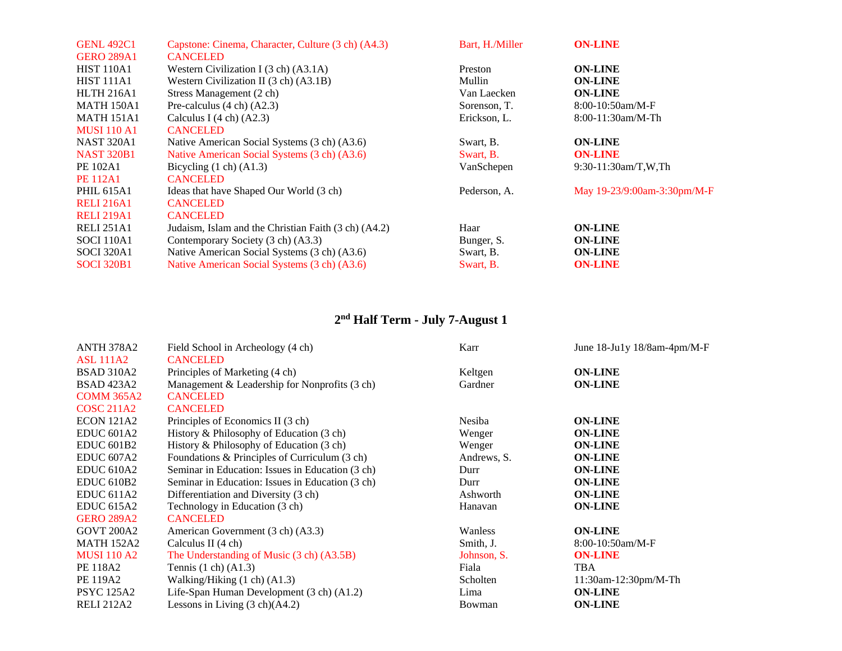| <b>GENL 492C1</b>  | Capstone: Cinema, Character, Culture (3 ch) (A4.3)   | Bart, H./Miller | <b>ON-LINE</b>              |
|--------------------|------------------------------------------------------|-----------------|-----------------------------|
| <b>GERO 289A1</b>  | <b>CANCELED</b>                                      |                 |                             |
| <b>HIST 110A1</b>  | Western Civilization I $(3 \text{ ch})$ $(A3.1A)$    | Preston         | <b>ON-LINE</b>              |
| <b>HIST 111A1</b>  | Western Civilization II (3 ch) (A3.1B)               | Mullin          | <b>ON-LINE</b>              |
| <b>HLTH 216A1</b>  | Stress Management (2 ch)                             | Van Laecken     | <b>ON-LINE</b>              |
| <b>MATH 150A1</b>  | Pre-calculus $(4 \text{ ch}) (A2.3)$                 | Sorenson, T.    | $8:00-10:50am/M-F$          |
| <b>MATH 151A1</b>  | Calculus I $(4 \text{ ch})$ $(A2.3)$                 | Erickson, L.    | $8:00-11:30am/M-Th$         |
| <b>MUSI 110 A1</b> | <b>CANCELED</b>                                      |                 |                             |
| <b>NAST 320A1</b>  | Native American Social Systems (3 ch) (A3.6)         | Swart, B.       | <b>ON-LINE</b>              |
| <b>NAST 320B1</b>  | Native American Social Systems (3 ch) (A3.6)         | Swart, B.       | <b>ON-LINE</b>              |
| PE 102A1           | Bicycling $(1 ch) (A1.3)$                            | VanSchepen      | $9:30-11:30am/T$ , W.Th     |
| <b>PE 112A1</b>    | <b>CANCELED</b>                                      |                 |                             |
| <b>PHIL 615A1</b>  | Ideas that have Shaped Our World (3 ch)              | Pederson, A.    | May 19-23/9:00am-3:30pm/M-F |
| <b>RELI 216A1</b>  | <b>CANCELED</b>                                      |                 |                             |
| <b>RELI 219A1</b>  | <b>CANCELED</b>                                      |                 |                             |
| <b>RELI 251A1</b>  | Judaism, Islam and the Christian Faith (3 ch) (A4.2) | Haar            | <b>ON-LINE</b>              |
| <b>SOCI 110A1</b>  | Contemporary Society (3 ch) (A3.3)                   | Bunger, S.      | <b>ON-LINE</b>              |
| <b>SOCI</b> 320A1  | Native American Social Systems (3 ch) (A3.6)         | Swart, B.       | <b>ON-LINE</b>              |
| <b>SOCI 320B1</b>  | Native American Social Systems (3 ch) (A3.6)         | Swart, B.       | <b>ON-LINE</b>              |
|                    |                                                      |                 |                             |

## **2nd Half Term - July 7-August 1**

| <b>ANTH 378A2</b>     | Field School in Archeology (4 ch)                | Karr        | June 18-Ju1y 18/8am-4pm/M-F |
|-----------------------|--------------------------------------------------|-------------|-----------------------------|
| <b>ASL 111A2</b>      | <b>CANCELED</b>                                  |             |                             |
| <b>BSAD 310A2</b>     | Principles of Marketing (4 ch)                   | Keltgen     | <b>ON-LINE</b>              |
| <b>BSAD 423A2</b>     | Management & Leadership for Nonprofits (3 ch)    | Gardner     | <b>ON-LINE</b>              |
| <b>COMM 365A2</b>     | <b>CANCELED</b>                                  |             |                             |
| <b>COSC 211A2</b>     | <b>CANCELED</b>                                  |             |                             |
| <b>ECON 121A2</b>     | Principles of Economics II (3 ch)                | Nesiba      | <b>ON-LINE</b>              |
| EDUC <sub>601A2</sub> | History & Philosophy of Education (3 ch)         | Wenger      | <b>ON-LINE</b>              |
| <b>EDUC 601B2</b>     | History & Philosophy of Education (3 ch)         | Wenger      | <b>ON-LINE</b>              |
| EDUC <sub>607A2</sub> | Foundations & Principles of Curriculum (3 ch)    | Andrews, S. | <b>ON-LINE</b>              |
| <b>EDUC 610A2</b>     | Seminar in Education: Issues in Education (3 ch) | Durr        | <b>ON-LINE</b>              |
| <b>EDUC 610B2</b>     | Seminar in Education: Issues in Education (3 ch) | Durr        | <b>ON-LINE</b>              |
| EDUC <sub>611A2</sub> | Differentiation and Diversity (3 ch)             | Ashworth    | <b>ON-LINE</b>              |
| <b>EDUC 615A2</b>     | Technology in Education (3 ch)                   | Hanavan     | <b>ON-LINE</b>              |
| <b>GERO 289A2</b>     | <b>CANCELED</b>                                  |             |                             |
| <b>GOVT 200A2</b>     | American Government (3 ch) (A3.3)                | Wanless     | <b>ON-LINE</b>              |
| <b>MATH 152A2</b>     | Calculus II $(4 \text{ ch})$                     | Smith, J.   | $8:00-10:50am/M-F$          |
| <b>MUSI 110 A2</b>    | The Understanding of Music (3 ch) (A3.5B)        | Johnson, S. | <b>ON-LINE</b>              |
| PE 118A2              | Tennis $(1 ch) (A1.3)$                           | Fiala       | TBA                         |
| <b>PE 119A2</b>       | Walking/Hiking $(1 ch) (A1.3)$                   | Scholten    | $11:30$ am- $12:30$ pm/M-Th |
| <b>PSYC 125A2</b>     | Life-Span Human Development (3 ch) (A1.2)        | Lima        | <b>ON-LINE</b>              |
| <b>RELI 212A2</b>     | Lessons in Living $(3 \text{ ch})(A4.2)$         | Bowman      | <b>ON-LINE</b>              |